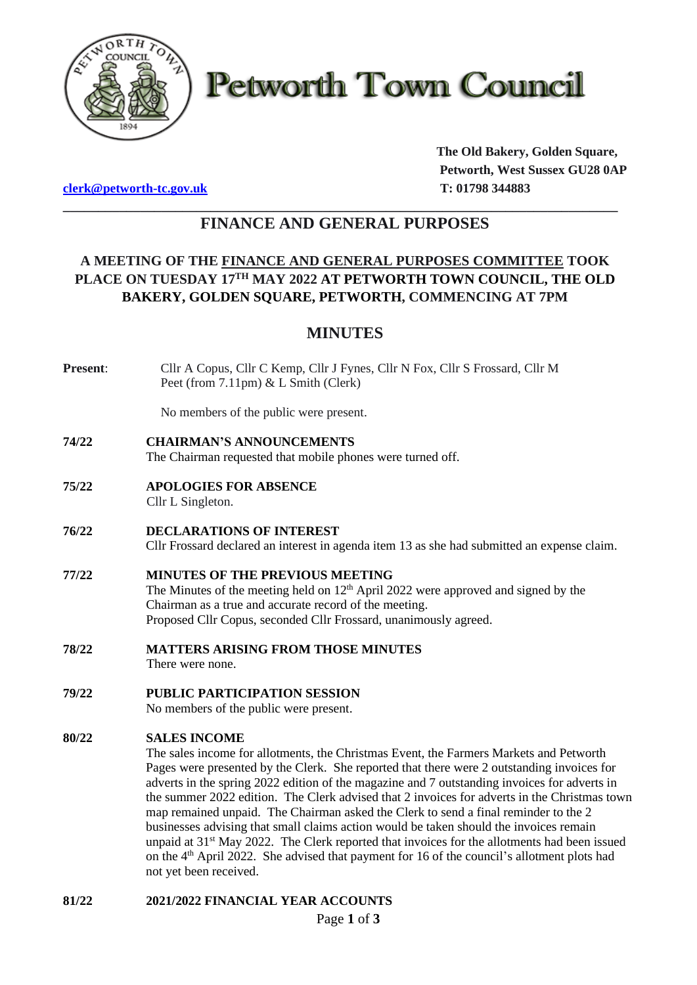

**Petworth Town Council** 

**[clerk@petworth-tc.gov.uk](mailto:clerk@petworth-tc.gov.uk) T: 01798 344883**

**The Old Bakery, Golden Square, Petworth, West Sussex GU28 0AP**

# **\_\_\_\_\_\_\_\_\_\_\_\_\_\_\_\_\_\_\_\_\_\_\_\_\_\_\_\_\_\_\_\_\_\_\_\_\_\_\_\_\_\_\_\_\_\_\_\_\_\_\_\_\_\_\_\_\_\_\_\_\_\_\_\_\_\_\_\_\_\_\_\_\_\_\_\_\_\_\_ FINANCE AND GENERAL PURPOSES**

# **A MEETING OF THE FINANCE AND GENERAL PURPOSES COMMITTEE TOOK PLACE ON TUESDAY 17 TH MAY 2022 AT PETWORTH TOWN COUNCIL, THE OLD BAKERY, GOLDEN SQUARE, PETWORTH, COMMENCING AT 7PM**

# **MINUTES**

**Present**: Cllr A Copus, Cllr C Kemp, Cllr J Fynes, Cllr N Fox, Cllr S Frossard, Cllr M Peet (from 7.11pm) & L Smith (Clerk)

No members of the public were present.

**74/22 CHAIRMAN'S ANNOUNCEMENTS**

The Chairman requested that mobile phones were turned off.

- **75/22 APOLOGIES FOR ABSENCE** Cllr L Singleton.
- **76/22 DECLARATIONS OF INTEREST** Cllr Frossard declared an interest in agenda item 13 as she had submitted an expense claim.

## **77/22 MINUTES OF THE PREVIOUS MEETING** The Minutes of the meeting held on  $12<sup>th</sup>$  April 2022 were approved and signed by the Chairman as a true and accurate record of the meeting. Proposed Cllr Copus, seconded Cllr Frossard, unanimously agreed.

- **78/22 MATTERS ARISING FROM THOSE MINUTES** There were none.
- **79/22 PUBLIC PARTICIPATION SESSION** No members of the public were present.

## **80/22 SALES INCOME**

The sales income for allotments, the Christmas Event, the Farmers Markets and Petworth Pages were presented by the Clerk. She reported that there were 2 outstanding invoices for adverts in the spring 2022 edition of the magazine and 7 outstanding invoices for adverts in the summer 2022 edition. The Clerk advised that 2 invoices for adverts in the Christmas town map remained unpaid. The Chairman asked the Clerk to send a final reminder to the 2 businesses advising that small claims action would be taken should the invoices remain unpaid at  $31<sup>st</sup>$  May 2022. The Clerk reported that invoices for the allotments had been issued on the  $4<sup>th</sup>$  April 2022. She advised that payment for 16 of the council's allotment plots had not yet been received.

**81/22 2021/2022 FINANCIAL YEAR ACCOUNTS**

Page **1** of **3**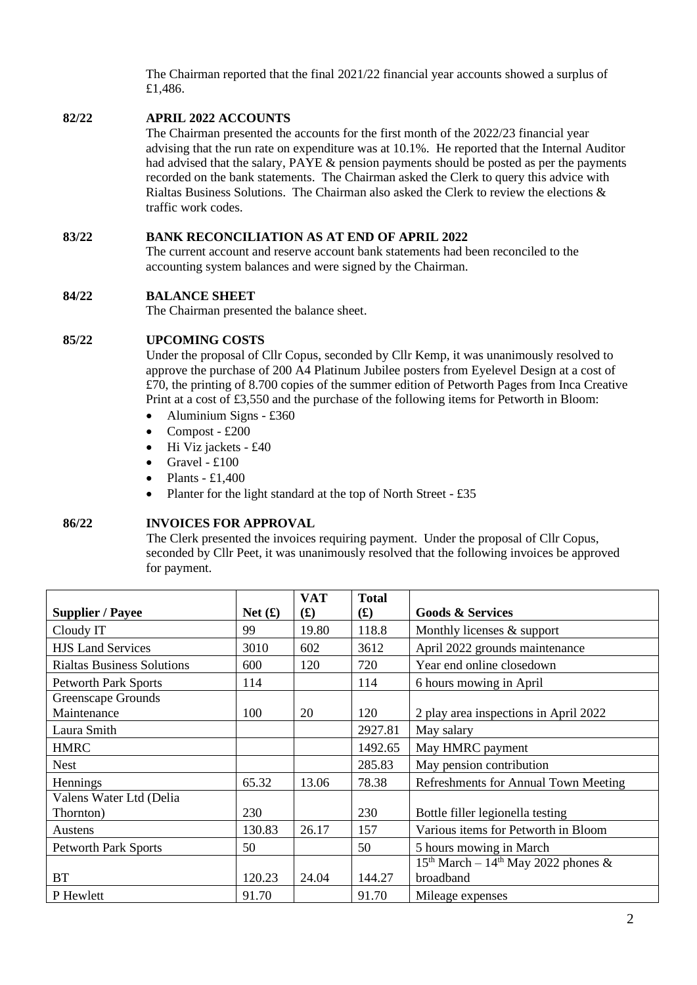The Chairman reported that the final 2021/22 financial year accounts showed a surplus of £1,486.

## **82/22 APRIL 2022 ACCOUNTS**

The Chairman presented the accounts for the first month of the 2022/23 financial year advising that the run rate on expenditure was at 10.1%. He reported that the Internal Auditor had advised that the salary, PAYE & pension payments should be posted as per the payments recorded on the bank statements. The Chairman asked the Clerk to query this advice with Rialtas Business Solutions. The Chairman also asked the Clerk to review the elections & traffic work codes.

## **83/22 BANK RECONCILIATION AS AT END OF APRIL 2022**

The current account and reserve account bank statements had been reconciled to the accounting system balances and were signed by the Chairman.

#### **84/22 BALANCE SHEET**

The Chairman presented the balance sheet.

#### **85/22 UPCOMING COSTS**

Under the proposal of Cllr Copus, seconded by Cllr Kemp, it was unanimously resolved to approve the purchase of 200 A4 Platinum Jubilee posters from Eyelevel Design at a cost of £70, the printing of 8.700 copies of the summer edition of Petworth Pages from Inca Creative Print at a cost of £3,550 and the purchase of the following items for Petworth in Bloom:

- Aluminium Signs  $£360$
- Compost  $£200$
- Hi Viz jackets £40
- Gravel  $£100$
- Plants  $£1,400$
- Planter for the light standard at the top of North Street £35

#### **86/22 INVOICES FOR APPROVAL**

The Clerk presented the invoices requiring payment. Under the proposal of Cllr Copus, seconded by Cllr Peet, it was unanimously resolved that the following invoices be approved for payment.

| <b>Supplier / Payee</b>           | Net(f) | <b>VAT</b><br>$\mathbf{f}(\mathbf{f})$ | <b>Total</b><br>$\mathbf{f}(\mathbf{f})$ | <b>Goods &amp; Services</b>           |
|-----------------------------------|--------|----------------------------------------|------------------------------------------|---------------------------------------|
|                                   |        |                                        |                                          |                                       |
| Cloudy IT                         | 99     | 19.80                                  | 118.8                                    | Monthly licenses & support            |
| <b>HJS Land Services</b>          | 3010   | 602                                    | 3612                                     | April 2022 grounds maintenance        |
| <b>Rialtas Business Solutions</b> | 600    | 120                                    | 720                                      | Year end online closedown             |
| <b>Petworth Park Sports</b>       | 114    |                                        | 114                                      | 6 hours mowing in April               |
| Greenscape Grounds<br>Maintenance | 100    | 20                                     | 120                                      |                                       |
|                                   |        |                                        |                                          | 2 play area inspections in April 2022 |
| Laura Smith                       |        |                                        | 2927.81                                  | May salary                            |
| <b>HMRC</b>                       |        |                                        | 1492.65                                  | May HMRC payment                      |
| <b>Nest</b>                       |        |                                        | 285.83                                   | May pension contribution              |
| Hennings                          | 65.32  | 13.06                                  | 78.38                                    | Refreshments for Annual Town Meeting  |
| Valens Water Ltd (Delia           |        |                                        |                                          |                                       |
| Thornton)                         | 230    |                                        | 230                                      | Bottle filler legionella testing      |
| Austens                           | 130.83 | 26.17                                  | 157                                      | Various items for Petworth in Bloom   |
| <b>Petworth Park Sports</b>       | 50     |                                        | 50                                       | 5 hours mowing in March               |
|                                   |        |                                        |                                          | $15th March - 14th May 2022 phones &$ |
| <b>BT</b>                         | 120.23 | 24.04                                  | 144.27                                   | broadband                             |
| P Hewlett                         | 91.70  |                                        | 91.70                                    | Mileage expenses                      |